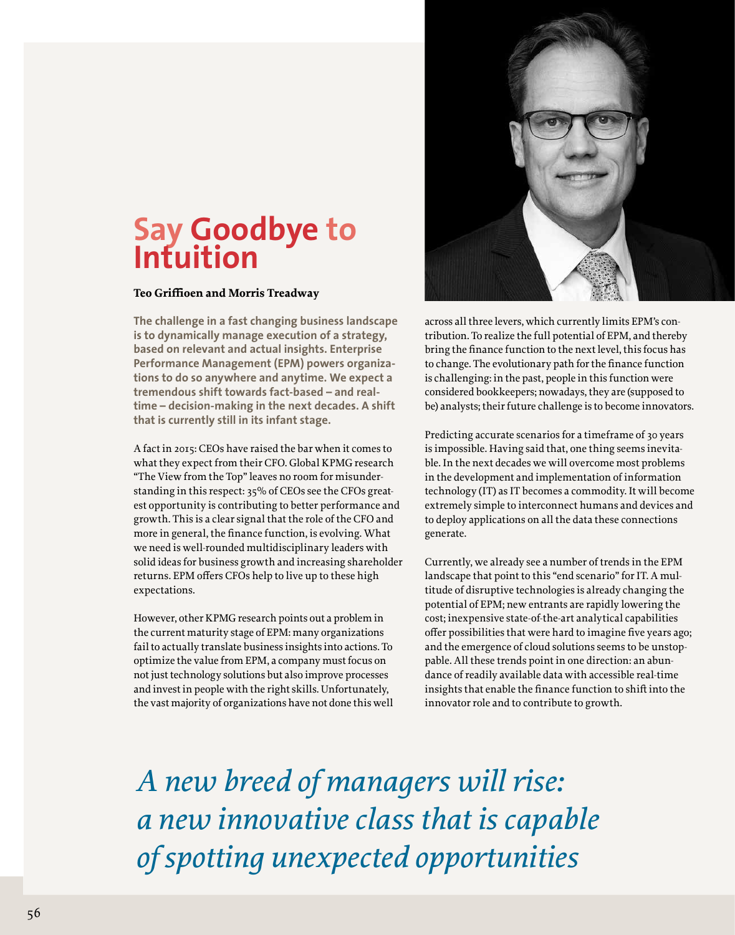## **Say Goodbye to Intuition**

## **Teo Griffioen and Morris Treadway**

**The challenge in a fast changing business landscape is to dynamically manage execution of a strategy, based on relevant and actual insights. Enterprise Performance Management (EPM) powers organizations to do so anywhere and anytime. We expect a tremendous shift towards fact-based – and realtime – decision-making in the next decades. A shift that is currently still in its infant stage.**

A fact in 2015: CEOs have raised the bar when it comes to what they expect from their CFO. Global KPMG research "The View from the Top" leaves no room for misunderstanding in this respect: 35% of CEOs see the CFOs greatest opportunity is contributing to better performance and growth. This is a clear signal that the role of the CFO and more in general, the finance function, is evolving. What we need is well-rounded multidisciplinary leaders with solid ideas for business growth and increasing shareholder returns. EPM offers CFOs help to live up to these high expectations.

However, other KPMG research points out a problem in the current maturity stage of EPM: many organizations fail to actually translate business insights into actions. To optimize the value from EPM, a company must focus on not just technology solutions but also improve processes and invest in people with the right skills. Unfortunately, the vast majority of organizations have not done this well



across all three levers, which currently limits EPM's contribution. To realize the full potential of EPM, and thereby bring the finance function to the next level, this focus has to change. The evolutionary path for the finance function is challenging: in the past, people in this function were considered bookkeepers; nowadays, they are (supposed to be) analysts; their future challenge is to become innovators.

Predicting accurate scenarios for a timeframe of 30 years is impossible. Having said that, one thing seems inevitable. In the next decades we will overcome most problems in the development and implementation of information technology (IT) as IT becomes a commodity. It will become extremely simple to interconnect humans and devices and to deploy applications on all the data these connections generate.

Currently, we already see a number of trends in the EPM landscape that point to this "end scenario" for IT. A multitude of disruptive technologies is already changing the potential of EPM; new entrants are rapidly lowering the cost; inexpensive state-of-the-art analytical capabilities offer possibilities that were hard to imagine five years ago; and the emergence of cloud solutions seems to be unstoppable. All these trends point in one direction: an abundance of readily available data with accessible real-time insights that enable the finance function to shift into the innovator role and to contribute to growth.

*A new breed of managers will rise: a new innovative class that is capable of spotting unexpected opportunities*